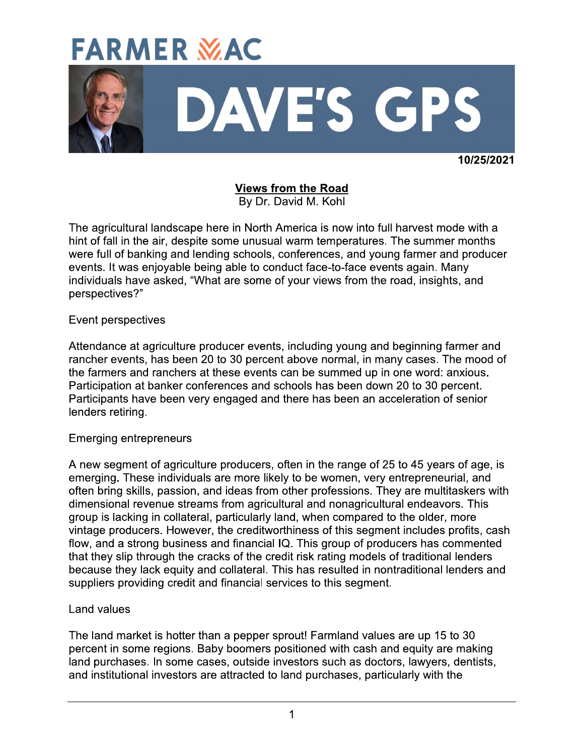# **FARMER MAC**



10/25/2021

**Views from the Road** By Dr. David M. Kohl

The agricultural landscape here in North America is now into full harvest mode with a hint of fall in the air, despite some unusual warm temperatures. The summer months were full of banking and lending schools, conferences, and young farmer and producer events. It was enjoyable being able to conduct face-to-face events again. Many individuals have asked, "What are some of your views from the road, insights, and perspectives?"

#### Event perspectives

Attendance at agriculture producer events, including young and beginning farmer and rancher events, has been 20 to 30 percent above normal, in many cases. The mood of the farmers and ranchers at these events can be summed up in one word: anxious. Participation at banker conferences and schools has been down 20 to 30 percent. Participants have been very engaged and there has been an acceleration of senior lenders retiring.

## **Emerging entrepreneurs**

A new segment of agriculture producers, often in the range of 25 to 45 years of age, is emerging. These individuals are more likely to be women, very entrepreneurial, and often bring skills, passion, and ideas from other professions. They are multitaskers with dimensional revenue streams from agricultural and nonagricultural endeavors. This group is lacking in collateral, particularly land, when compared to the older, more vintage producers. However, the creditworthiness of this segment includes profits, cash flow, and a strong business and financial IQ. This group of producers has commented that they slip through the cracks of the credit risk rating models of traditional lenders because they lack equity and collateral. This has resulted in nontraditional lenders and suppliers providing credit and financial services to this segment.

#### **Land values**

The land market is hotter than a pepper sprout! Farmland values are up 15 to 30 percent in some regions. Baby boomers positioned with cash and equity are making land purchases. In some cases, outside investors such as doctors, lawyers, dentists, and institutional investors are attracted to land purchases, particularly with the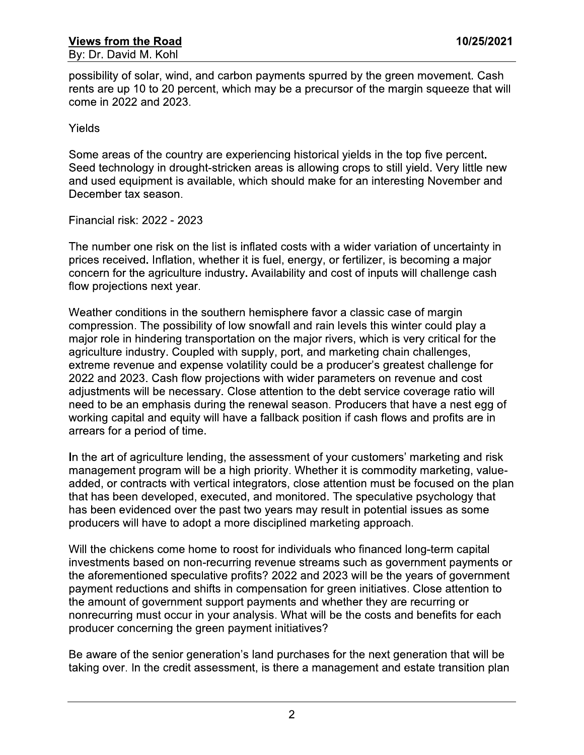possibility of solar, wind, and carbon payments spurred by the green movement. Cash rents are up 10 to 20 percent, which may be a precursor of the margin squeeze that will come in 2022 and 2023.

Yields

Some areas of the country are experiencing historical yields in the top five percent. Seed technology in drought-stricken areas is allowing crops to still yield. Very little new and used equipment is available, which should make for an interesting November and December tax season.

Financial risk: 2022 - 2023

The number one risk on the list is inflated costs with a wider variation of uncertainty in prices received. Inflation, whether it is fuel, energy, or fertilizer, is becoming a major concern for the agriculture industry. Availability and cost of inputs will challenge cash flow projections next year.

Weather conditions in the southern hemisphere favor a classic case of margin compression. The possibility of low snowfall and rain levels this winter could play a major role in hindering transportation on the major rivers, which is very critical for the agriculture industry. Coupled with supply, port, and marketing chain challenges, extreme revenue and expense volatility could be a producer's greatest challenge for 2022 and 2023. Cash flow projections with wider parameters on revenue and cost adjustments will be necessary. Close attention to the debt service coverage ratio will need to be an emphasis during the renewal season. Producers that have a nest egg of working capital and equity will have a fallback position if cash flows and profits are in arrears for a period of time.

In the art of agriculture lending, the assessment of your customers' marketing and risk management program will be a high priority. Whether it is commodity marketing, valueadded, or contracts with vertical integrators, close attention must be focused on the plan that has been developed, executed, and monitored. The speculative psychology that has been evidenced over the past two years may result in potential issues as some producers will have to adopt a more disciplined marketing approach.

Will the chickens come home to roost for individuals who financed long-term capital investments based on non-recurring revenue streams such as government payments or the aforementioned speculative profits? 2022 and 2023 will be the years of government payment reductions and shifts in compensation for green initiatives. Close attention to the amount of government support payments and whether they are recurring or nonrecurring must occur in your analysis. What will be the costs and benefits for each producer concerning the green payment initiatives?

Be aware of the senior generation's land purchases for the next generation that will be taking over. In the credit assessment, is there a management and estate transition plan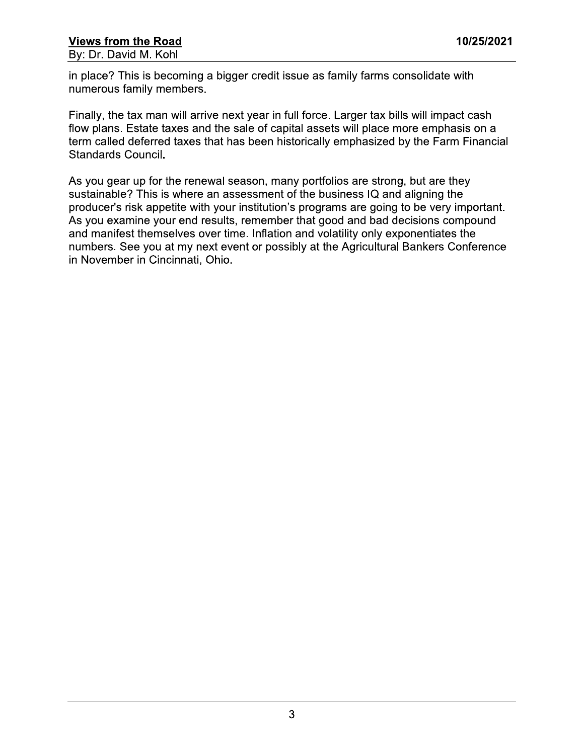in place? This is becoming a bigger credit issue as family farms consolidate with numerous family members.

Finally, the tax man will arrive next year in full force. Larger tax bills will impact cash flow plans. Estate taxes and the sale of capital assets will place more emphasis on a term called deferred taxes that has been historically emphasized by the Farm Financial **Standards Council.** 

As you gear up for the renewal season, many portfolios are strong, but are they sustainable? This is where an assessment of the business IQ and aligning the producer's risk appetite with your institution's programs are going to be very important. As you examine your end results, remember that good and bad decisions compound and manifest themselves over time. Inflation and volatility only exponentiates the numbers. See you at my next event or possibly at the Agricultural Bankers Conference in November in Cincinnati, Ohio.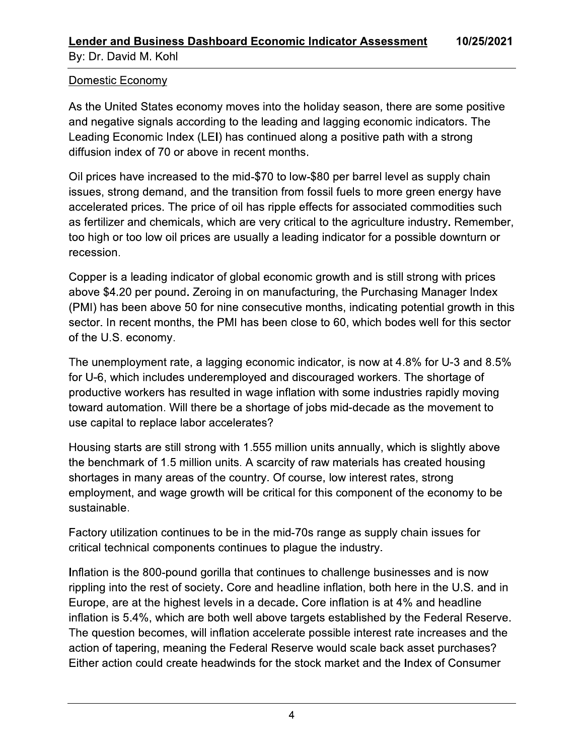## Domestic Economy

As the United States economy moves into the holiday season, there are some positive and negative signals according to the leading and lagging economic indicators. The Leading Economic Index (LEI) has continued along a positive path with a strong diffusion index of 70 or above in recent months.

Oil prices have increased to the mid-\$70 to low-\$80 per barrel level as supply chain issues, strong demand, and the transition from fossil fuels to more green energy have accelerated prices. The price of oil has ripple effects for associated commodities such as fertilizer and chemicals, which are very critical to the agriculture industry. Remember, too high or too low oil prices are usually a leading indicator for a possible downturn or recession.

Copper is a leading indicator of global economic growth and is still strong with prices above \$4.20 per pound. Zeroing in on manufacturing, the Purchasing Manager Index (PMI) has been above 50 for nine consecutive months, indicating potential growth in this sector. In recent months, the PMI has been close to 60, which bodes well for this sector of the U.S. economy.

The unemployment rate, a lagging economic indicator, is now at 4.8% for U-3 and 8.5% for U-6, which includes underemployed and discouraged workers. The shortage of productive workers has resulted in wage inflation with some industries rapidly moving toward automation. Will there be a shortage of jobs mid-decade as the movement to use capital to replace labor accelerates?

Housing starts are still strong with 1.555 million units annually, which is slightly above the benchmark of 1.5 million units. A scarcity of raw materials has created housing shortages in many areas of the country. Of course, low interest rates, strong employment, and wage growth will be critical for this component of the economy to be sustainable.

Factory utilization continues to be in the mid-70s range as supply chain issues for critical technical components continues to plaque the industry.

Inflation is the 800-pound gorilla that continues to challenge businesses and is now rippling into the rest of society. Core and headline inflation, both here in the U.S. and in Europe, are at the highest levels in a decade. Core inflation is at 4% and headline inflation is 5.4%, which are both well above targets established by the Federal Reserve. The question becomes, will inflation accelerate possible interest rate increases and the action of tapering, meaning the Federal Reserve would scale back asset purchases? Either action could create headwinds for the stock market and the Index of Consumer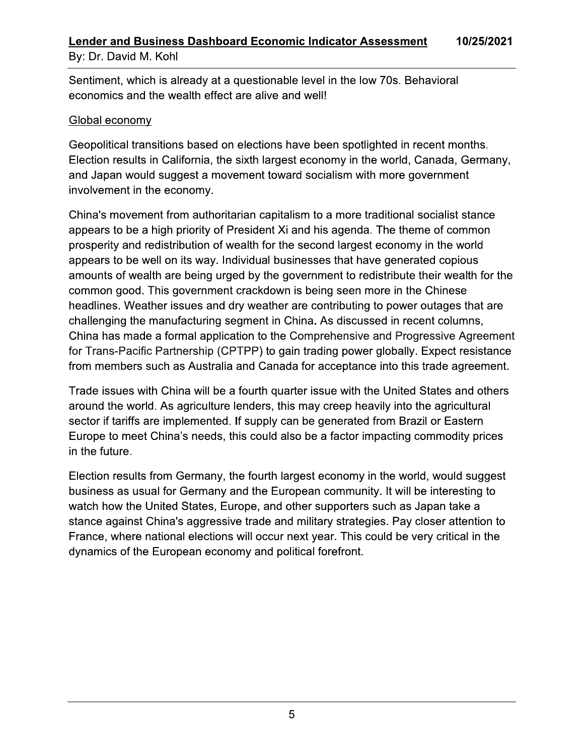Sentiment, which is already at a questionable level in the low 70s. Behavioral economics and the wealth effect are alive and well!

## Global economy

Geopolitical transitions based on elections have been spotlighted in recent months. Election results in California, the sixth largest economy in the world, Canada, Germany, and Japan would suggest a movement toward socialism with more government involvement in the economy.

China's movement from authoritarian capitalism to a more traditional socialist stance appears to be a high priority of President Xi and his agenda. The theme of common prosperity and redistribution of wealth for the second largest economy in the world appears to be well on its way. Individual businesses that have generated copious amounts of wealth are being urged by the government to redistribute their wealth for the common good. This government crackdown is being seen more in the Chinese headlines. Weather issues and dry weather are contributing to power outages that are challenging the manufacturing segment in China. As discussed in recent columns. China has made a formal application to the Comprehensive and Progressive Agreement for Trans-Pacific Partnership (CPTPP) to gain trading power globally. Expect resistance from members such as Australia and Canada for acceptance into this trade agreement.

Trade issues with China will be a fourth quarter issue with the United States and others around the world. As agriculture lenders, this may creep heavily into the agricultural sector if tariffs are implemented. If supply can be generated from Brazil or Eastern Europe to meet China's needs, this could also be a factor impacting commodity prices in the future.

Election results from Germany, the fourth largest economy in the world, would suggest business as usual for Germany and the European community. It will be interesting to watch how the United States, Europe, and other supporters such as Japan take a stance against China's aggressive trade and military strategies. Pay closer attention to France, where national elections will occur next year. This could be very critical in the dynamics of the European economy and political forefront.